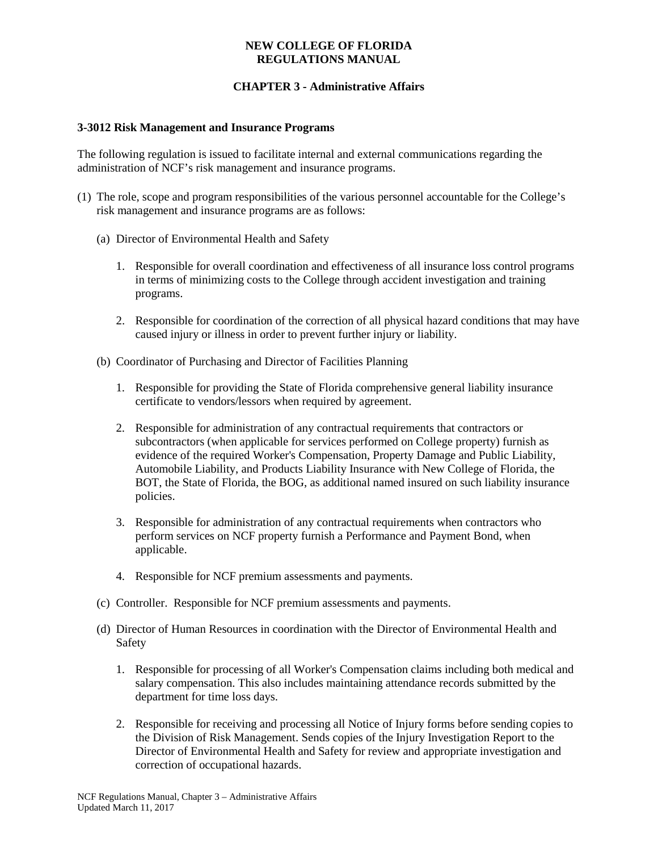#### **NEW COLLEGE OF FLORIDA REGULATIONS MANUAL**

# **CHAPTER 3 - Administrative Affairs**

#### **3-3012 Risk Management and Insurance Programs**

The following regulation is issued to facilitate internal and external communications regarding the administration of NCF's risk management and insurance programs.

- (1) The role, scope and program responsibilities of the various personnel accountable for the College's risk management and insurance programs are as follows:
	- (a) Director of Environmental Health and Safety
		- 1. Responsible for overall coordination and effectiveness of all insurance loss control programs in terms of minimizing costs to the College through accident investigation and training programs.
		- 2. Responsible for coordination of the correction of all physical hazard conditions that may have caused injury or illness in order to prevent further injury or liability.
	- (b) Coordinator of Purchasing and Director of Facilities Planning
		- 1. Responsible for providing the State of Florida comprehensive general liability insurance certificate to vendors/lessors when required by agreement.
		- 2. Responsible for administration of any contractual requirements that contractors or subcontractors (when applicable for services performed on College property) furnish as evidence of the required Worker's Compensation, Property Damage and Public Liability, Automobile Liability, and Products Liability Insurance with New College of Florida, the BOT, the State of Florida, the BOG, as additional named insured on such liability insurance policies.
		- 3. Responsible for administration of any contractual requirements when contractors who perform services on NCF property furnish a Performance and Payment Bond, when applicable.
		- 4. Responsible for NCF premium assessments and payments.
	- (c) Controller. Responsible for NCF premium assessments and payments.
	- (d) Director of Human Resources in coordination with the Director of Environmental Health and Safety
		- 1. Responsible for processing of all Worker's Compensation claims including both medical and salary compensation. This also includes maintaining attendance records submitted by the department for time loss days.
		- 2. Responsible for receiving and processing all Notice of Injury forms before sending copies to the Division of Risk Management. Sends copies of the Injury Investigation Report to the Director of Environmental Health and Safety for review and appropriate investigation and correction of occupational hazards.